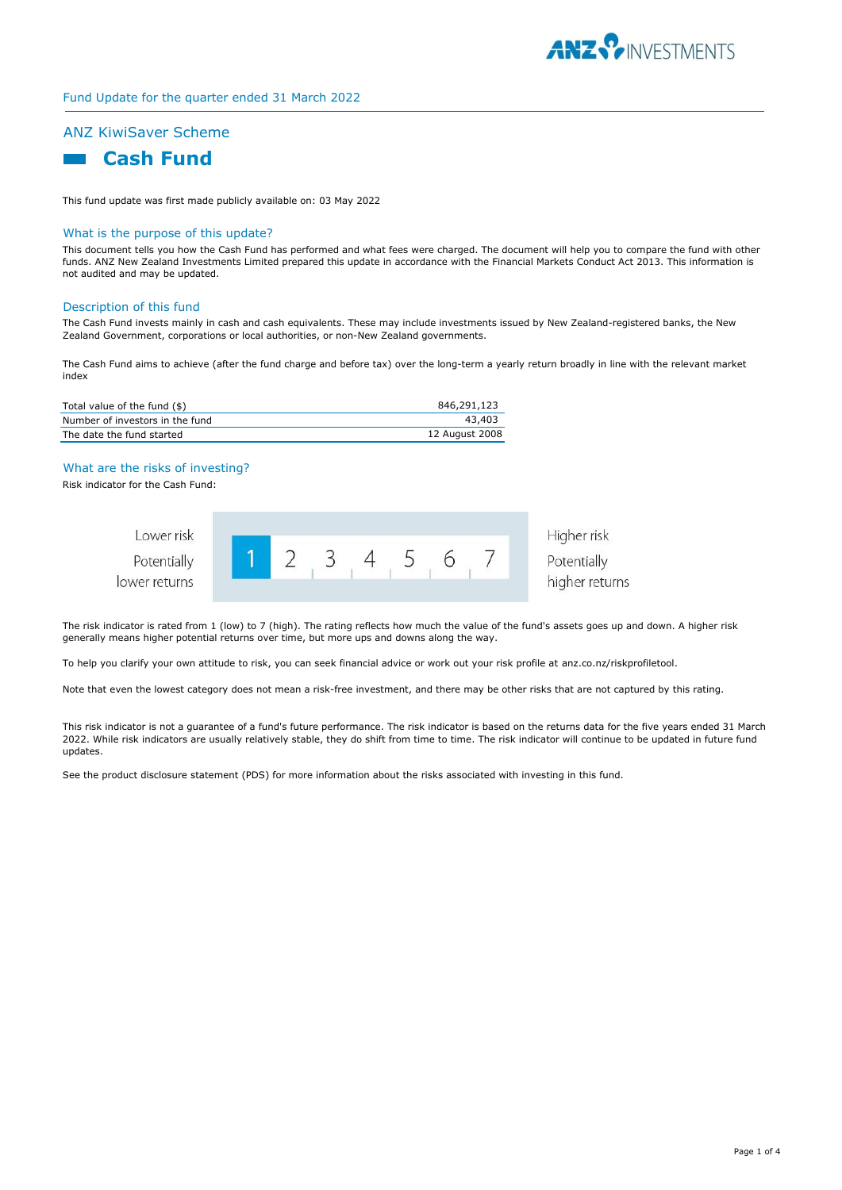

# ANZ KiwiSaver Scheme



This fund update was first made publicly available on: 03 May 2022

#### What is the purpose of this update?

This document tells you how the Cash Fund has performed and what fees were charged. The document will help you to compare the fund with other funds. ANZ New Zealand Investments Limited prepared this update in accordance with the Financial Markets Conduct Act 2013. This information is not audited and may be updated.

#### Description of this fund

The Cash Fund invests mainly in cash and cash equivalents. These may include investments issued by New Zealand-registered banks, the New Zealand Government, corporations or local authorities, or non-New Zealand governments.

The Cash Fund aims to achieve (after the fund charge and before tax) over the long-term a yearly return broadly in line with the relevant market index

| Total value of the fund (\$)    | 846,291,123    |
|---------------------------------|----------------|
| Number of investors in the fund | 43.403         |
| The date the fund started       | 12 August 2008 |

#### What are the risks of investing?

Risk indicator for the Cash Fund:



Potentially higher returns

Higher risk

The risk indicator is rated from 1 (low) to 7 (high). The rating reflects how much the value of the fund's assets goes up and down. A higher risk generally means higher potential returns over time, but more ups and downs along the way.

To help you clarify your own attitude to risk, you can seek financial advice or work out your risk profile at anz.co.nz/riskprofiletool.

Note that even the lowest category does not mean a risk-free investment, and there may be other risks that are not captured by this rating.

This risk indicator is not a guarantee of a fund's future performance. The risk indicator is based on the returns data for the five years ended 31 March 2022. While risk indicators are usually relatively stable, they do shift from time to time. The risk indicator will continue to be updated in future fund updates.

See the product disclosure statement (PDS) for more information about the risks associated with investing in this fund.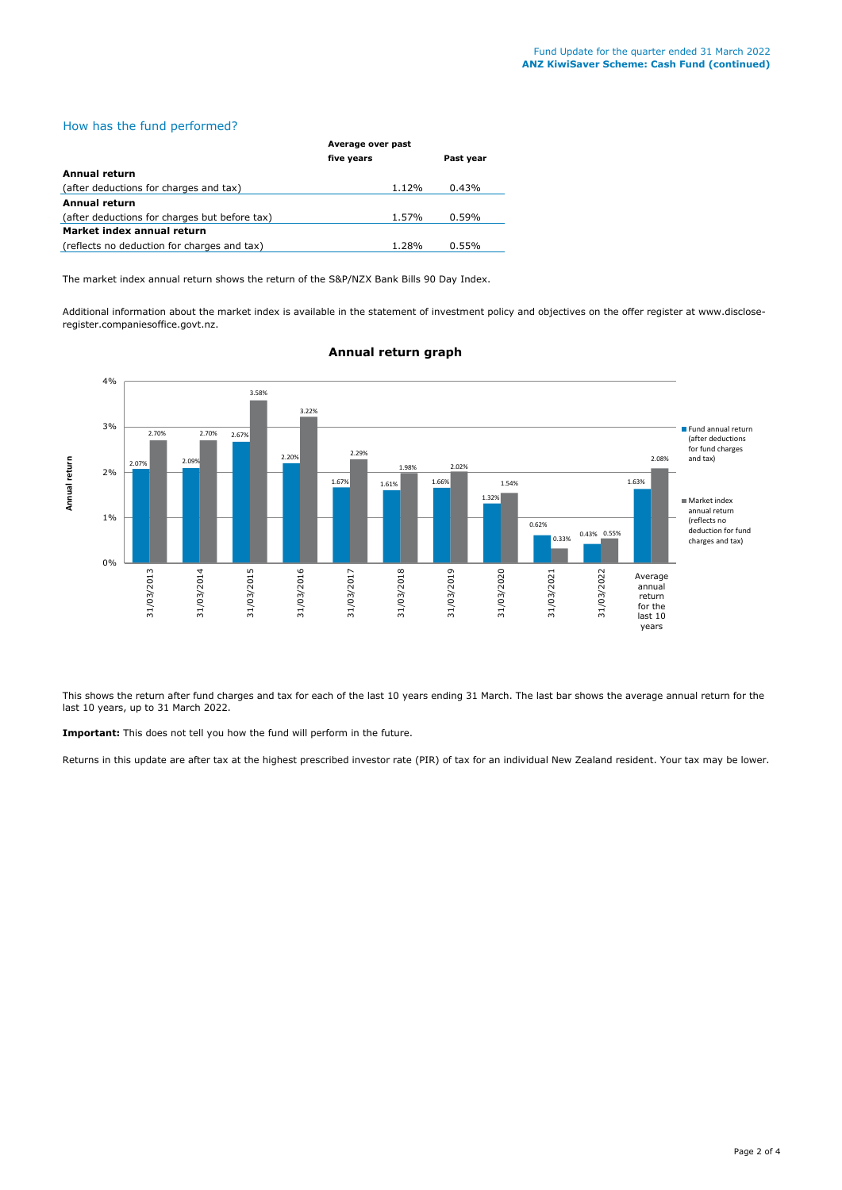# How has the fund performed?

|                                               | Average over past |           |  |
|-----------------------------------------------|-------------------|-----------|--|
|                                               | five years        | Past year |  |
| <b>Annual return</b>                          |                   |           |  |
| (after deductions for charges and tax)        | 1.12%             | 0.43%     |  |
| <b>Annual return</b>                          |                   |           |  |
| (after deductions for charges but before tax) | 1.57%             | 0.59%     |  |
| Market index annual return                    |                   |           |  |
| (reflects no deduction for charges and tax)   | 1.28%             | 0.55%     |  |

The market index annual return shows the return of the S&P/NZX Bank Bills 90 Day Index.

Additional information about the market index is available in the statement of investment policy and objectives on the offer register at www.discloseregister.companiesoffice.govt.nz.



## **Annual return graph**

This shows the return after fund charges and tax for each of the last 10 years ending 31 March. The last bar shows the average annual return for the last 10 years, up to 31 March 2022.

**Important:** This does not tell you how the fund will perform in the future.

Returns in this update are after tax at the highest prescribed investor rate (PIR) of tax for an individual New Zealand resident. Your tax may be lower.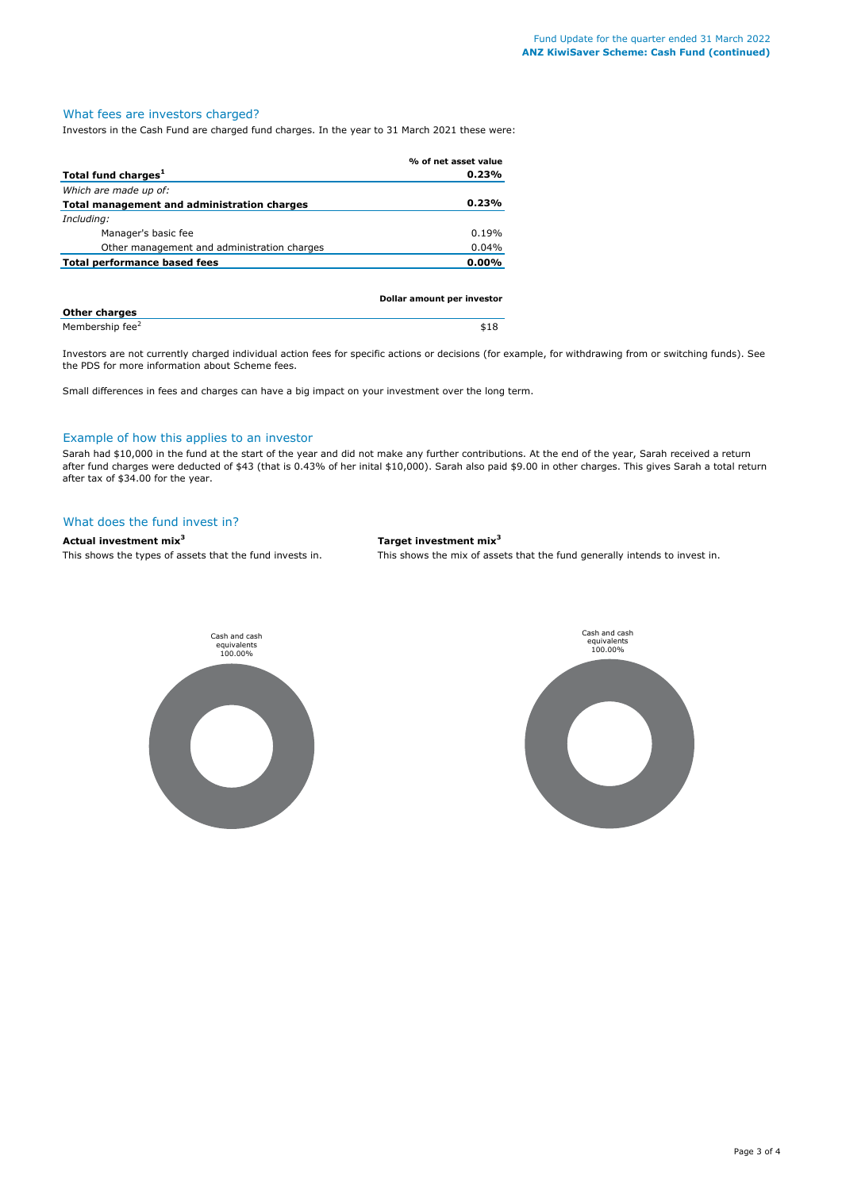# What fees are investors charged?

Investors in the Cash Fund are charged fund charges. In the year to 31 March 2021 these were:

|                                             | % of net asset value       |
|---------------------------------------------|----------------------------|
| Total fund charges <sup>1</sup>             | 0.23%                      |
| Which are made up of:                       |                            |
| Total management and administration charges | 0.23%                      |
| Including:                                  |                            |
| Manager's basic fee                         | 0.19%                      |
| Other management and administration charges | 0.04%                      |
| <b>Total performance based fees</b>         | 0.00%                      |
|                                             |                            |
|                                             |                            |
|                                             | Dollar amount per investor |

| <b>Other charges</b>        |      |
|-----------------------------|------|
| Membership fee <sup>2</sup> | \$18 |

Investors are not currently charged individual action fees for specific actions or decisions (for example, for withdrawing from or switching funds). See the PDS for more information about Scheme fees.

Small differences in fees and charges can have a big impact on your investment over the long term.

## Example of how this applies to an investor

Sarah had \$10,000 in the fund at the start of the year and did not make any further contributions. At the end of the year, Sarah received a return after fund charges were deducted of \$43 (that is 0.43% of her inital \$10,000). Sarah also paid \$9.00 in other charges. This gives Sarah a total return after tax of \$34.00 for the year.

## What does the fund invest in?

## **Actual investment mix<sup>3</sup> Target investment mix<sup>3</sup>**

This shows the types of assets that the fund invests in. This shows the mix of assets that the fund generally intends to invest in.